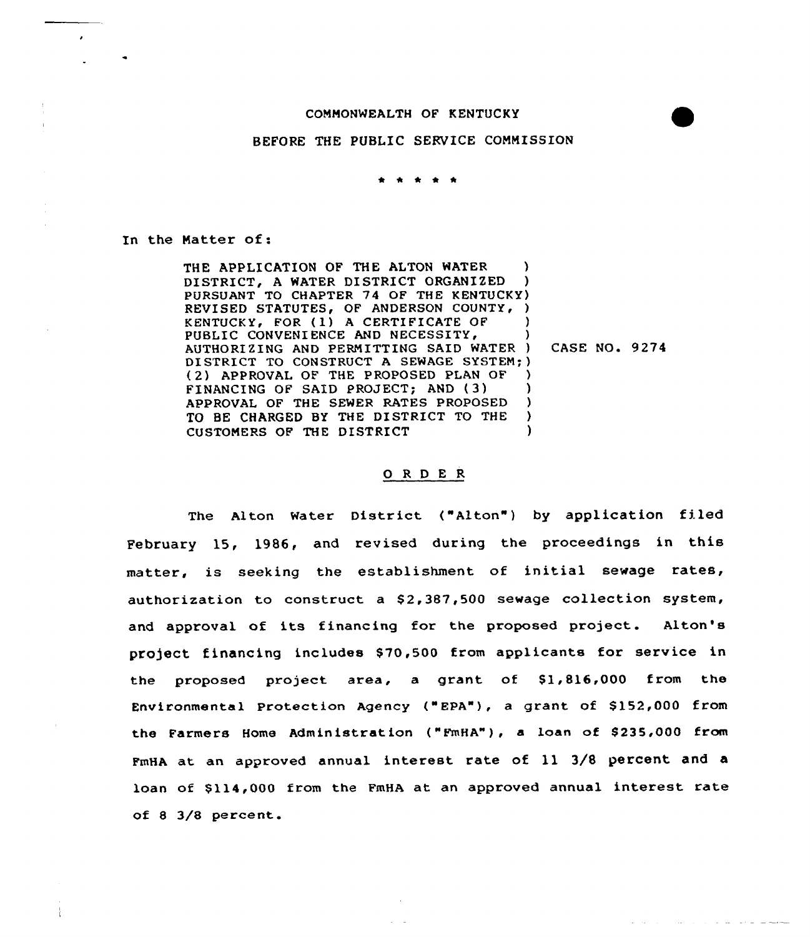#### COMMONWEALTH OF KENTUCKY

## BEFORE THE PUBLIC SERVICE COMMISSION

In the Matter of:

THE APPLICATION OF THE ALTON WATER (1) DISTRICT, A WATER DISTRICT ORGANIZED PURSUANT TO CHAPTER 74 OF THE KENTUCKY) REVISED STATUTES, OF ANDERSON COUNTY, ) KENTUCKY, FOR (1) A CERTIFICATE OF )<br>PHRLIC CONVENIENCE AND NECESSITY. PUBLIC CONVENIENCE AND NECESSITY, AUTHORIZING AND PERMITTING SAID WATER ) CASE NO. 9274 DISTRICT TO CONSTRUCT A SEWAGE SYSTEM;) (2) APPROVAL OF THE PROPOSED PLAN OF )<br>FINANCING OF SAID PROJECT: AND (3) FINANCING OF SAID PROJECT; AND ( 3) ) APPROVAL OF THE SEWER RATES PROPOSED )<br>TO BE CHARGED BY THE DISTRICT TO THE ) TO BE CHARGED BY THE DISTRICT TO THE )<br>CUSTOMERS OF THE DISTRICT (1) CUSTOMERS OF THE DISTRICT )

and a state of the state of the state

## 0 <sup>R</sup> <sup>D</sup> E R

The Alton Water District ("Alton") by application filed February 15, 1986, and revised during the proceedings in this matter, is seeking the establishment of initial sewage rates, authorization to construct a \$2,387,500 sewage collection system, and approval of its financing for the proposed project. Alton's project financing includes \$70,500 from applicants for service in the proposed project area, a grant of \$1,816,000 from the Environmental Protection Agency ("EPA"), a grant of \$152,000 from the Farmers Home Administration ("FmHA"), a loan of \$235,000 from FmHA at an approved annual interest rate of 11 3/8 percent and a loan of \$114,000 from the FmHA at an approved annual interest rate of 8 3/8 percent.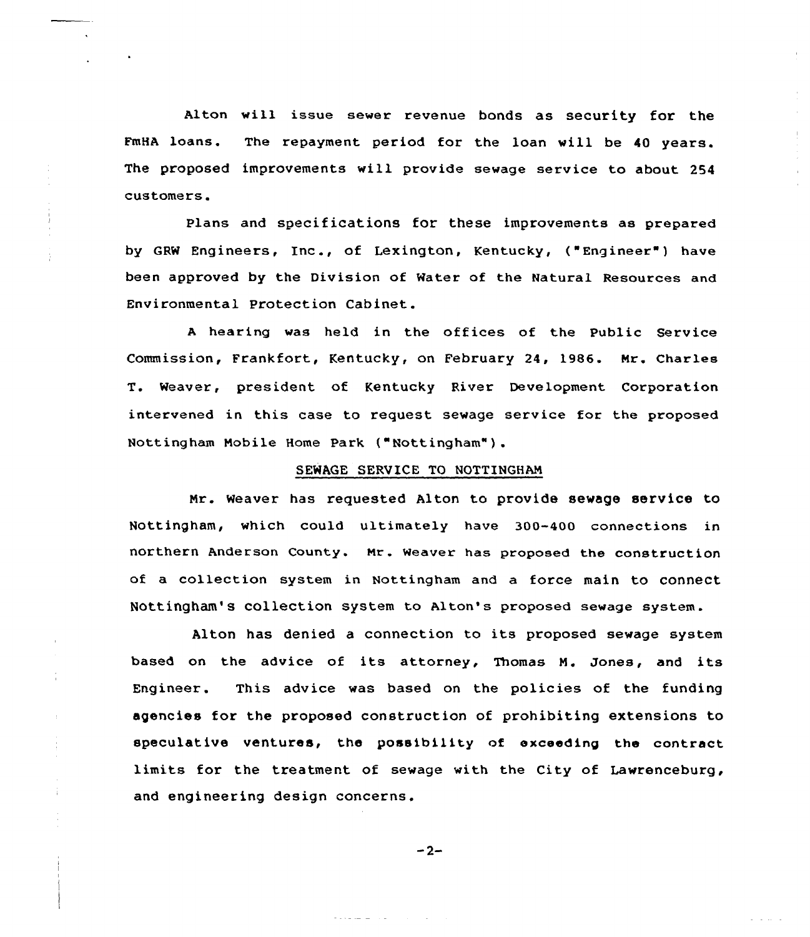Alton will issue sewer revenue bonds as security for the FmHA loans. The repayment period for the loan will be 40 years. The proposed improvements will provide sewage service to about 254 customers.

Plans and specifications for these improvements as prepared by GRM Engineers, Inc., of Lexington, Kentucky, ("Engineer" ) have been approved by the Division of Mater of the Natural Resources and Environmental Protection Cabinet.

hearing was held in the offices of the Public Service Commission, Frankfort, Kentucky, on February 24, 1986. Nr. Charles T. Weaver, president of Kentucky River Development Corporation intervened in this case to request sewage service for the proposed Nottingham Nobile Home Park ("Nottingham") .

## SEWAGE SERVICE TO NOTTINGHAM

Nr. Weaver has requested Alton to provide sewage service to Nottingham, which could ultimately have 300-400 connections in northern Anderson county. Nx. Meaver has proposed the construction of a collection system in Nottingham and a force main to connect Nottingham's collection system to Alton's proposed sewage system.

Alton has denied a connection to its proposed sewage system based on the advice of its attorney, Thomas M. Jones, and its Engineer. This advice was based on the policies of the funding agencies for the proposed construction of prohibiting extensions to speculative ventures, the possibility of exceeding the contract limits for the treatment of sewage with the City of Lawrenceburg, and engineering design concerns.

 $-2-$ 

a status and the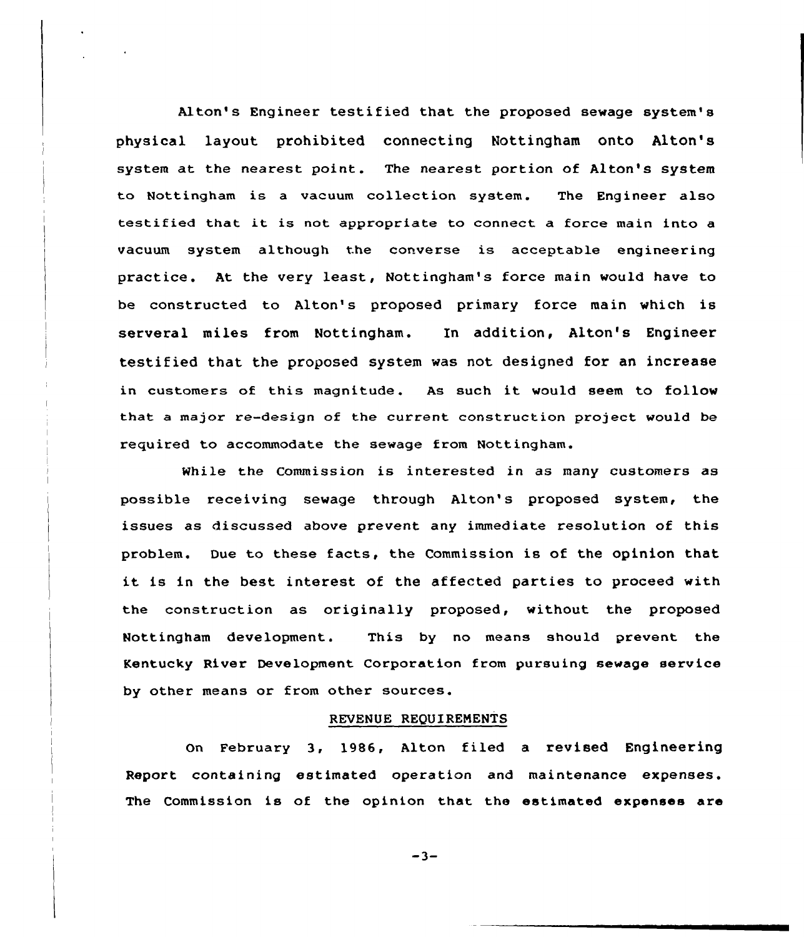Alton's Engineer testified that the proposed sewage system's physical layout prohibited connecting Nottingham onto Alton's system at the nearest point. The nearest portion of Alton's system to Nottingham is a vacuum collection system. The Engineer also testified that it is not appropriate to connect <sup>a</sup> force main into <sup>a</sup> vacuum system although the converse is acceptable engineering practice. At the very least, Nottingham's force main would have to be constructed to Alton's proposed primary force main which is servexal miles from Nottingham. In addition, Alton's Engineer testified that the proposed system was not designed fox an incxease in customers of this magnitude. As such it would seem to follow that a major re-design of the current construction project would be required to accommodate the sewage from Nottingham.

While the Commission is interested in as many customers as possible receiving sewage through Alton's proposed system, the issues as discussed above prevent any immediate resolution of this problem. Due to these facts, the Commission is of the opinion that it is in the best interest of the affected parties to proceed with the construction as originally proposed, without the proposed Nottingham development. This by no means should prevent the Kentucky River Development Corporation from pursuing sewage service by other means or from other sources.

#### REVENUE REQUIRENENTS

On Februaxy 3, 1986, Alton filed a revised Engineering Report containing estimated operation and maintenance expenses. The Commission is of the opinion that the estimated expenses are

 $-3-$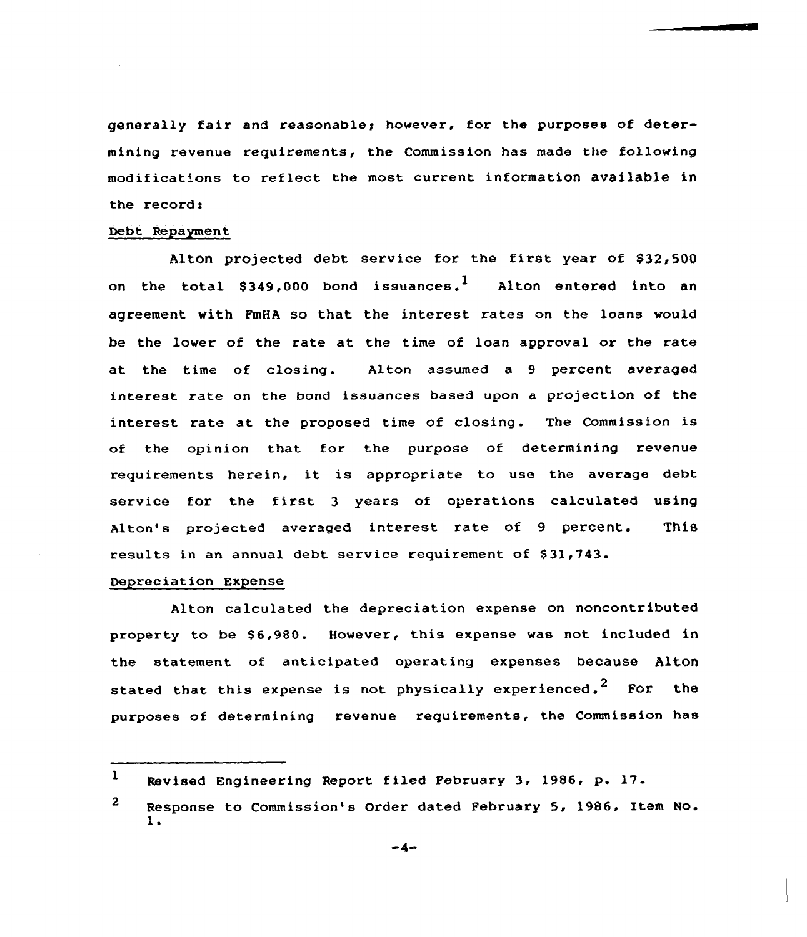generally fair and reasonable; however, for the purposes of determining revenue requirements, the Commission has made the following modifications to reflect the most current information available in the record:

## Debt Repayment

Alton pxojected debt service for the first yeax of \$32,500 on the total \$349,000 bond issuances.<sup>1</sup> Alton entered into an agreement with FmHA so that the interest rates on the loans would be the lower of the rate at the time of loan approval or the rate at the time of closing. Alton assumed a 9 pexcent avexaged interest rate on the bond issuances based upon a projection of the interest rate at the proposed time of closing. The Commission is of the opinion that for the purpose of determining revenue requirements herein, it is appropriate to use the average debt service for the first <sup>3</sup> years of operations calculated using Alton's projected averaged interest rate of 9 percent. This results in an annual debt service requirement of \$31,743.

#### Depreciation Expense

Alton calculated the depreciation expense on noncontributed property to be \$6,980. However, this expense was not included in the statement of anticipated operating expenses because Alton stated that this expense is not physically experienced.<sup>2</sup> For the purposes of determining revenue requirements, the Commission has

 $-4-$ 

سوالي الوارد ال

<sup>1</sup> Revised Engineering Report filed Pebruary 3, 1986, p. 17.

 $\overline{2}$ Response to Commission's Order dated February 5, 1986, Item No.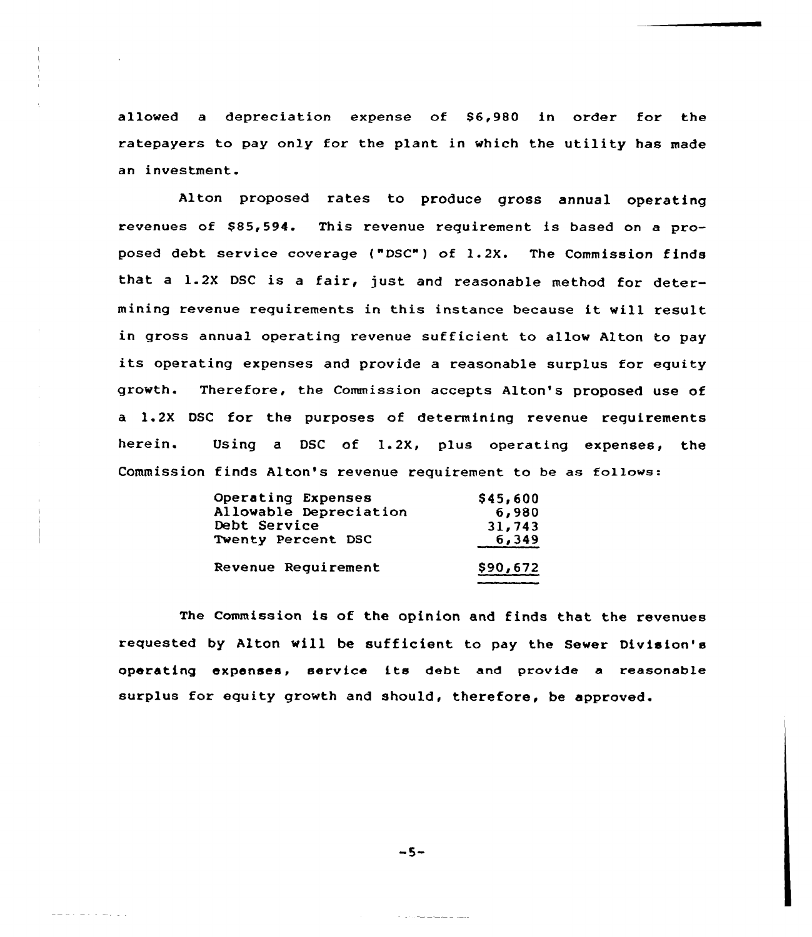allowed a depreciation expense of \$6,980 in order for the ratepayers to pay only for the plant in which the utility has made an investment.

Alton proposed rates to produce gross annual operating revenues of \$85,594. This revenue requirement is based on a proposed debt service coverage ("DSC") of 1.2X. The Commission finds that <sup>a</sup> 1.2X DSC is <sup>a</sup> fair, just and reasonable method for determining revenue requirements in this instance because it vill result in gross annual operating revenue sufficient to allow Alton to pay its operating expenses and provide <sup>a</sup> reasonable surplus for equity growth. Therefore, the Commission accepts Alton's proposed use of a ).2X DSC for the purposes of determining revenue requirements herein. Using a DSC of 1.2X, plus operating expenses, the Commission finds Alton's revenue requirement to be as follows:

| Operating Expenses     | \$45,600 |
|------------------------|----------|
| Allowable Depreciation | 6,980    |
| Debt Service           | 31,743   |
| Twenty Percent DSC     | 6,349    |
| Revenue Reguirement    |          |
|                        | \$90,672 |

The Commission is of the opinion and finds that the revenues requested by Alton vill be sufficient to pay the Sewer Division's operating expenses, service its debt and provide a reasonable surplus for equity growth and should, therefore, be approved.

 $-5-$ 

222. 232. 233. 23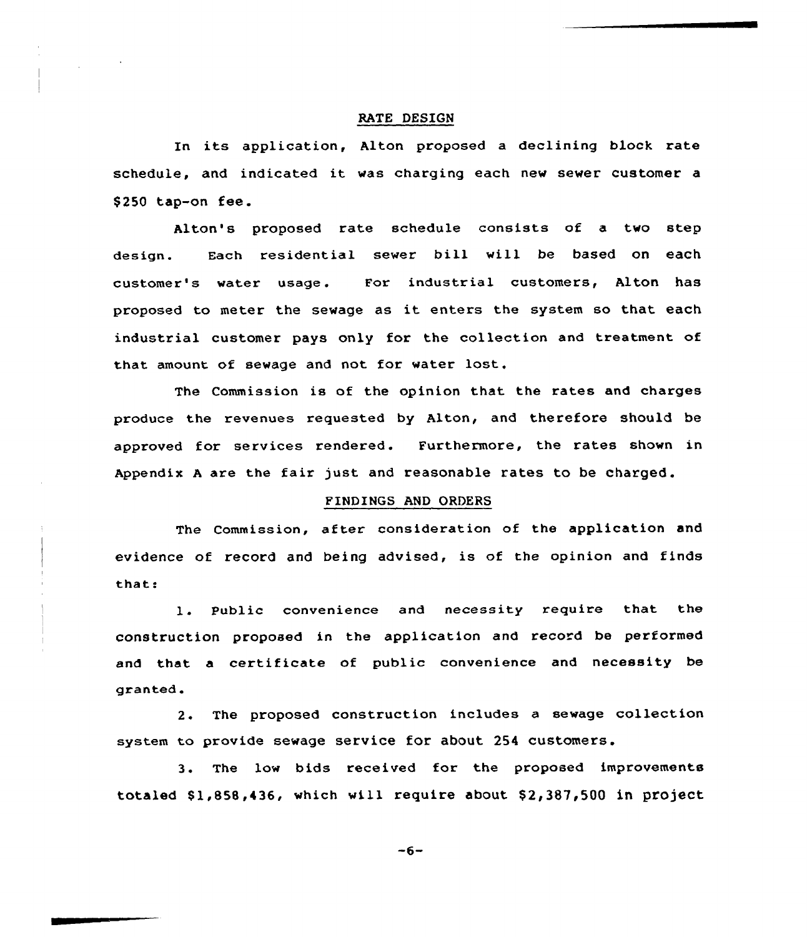#### RATE DESIGN

In its application, Alton proposed <sup>a</sup> declining block rate schedule, and indicated it vas charging each nev sewer customer <sup>a</sup> \$ <sup>250</sup> tap-on fee.

design. Alton's proposed rate schedule consists of a two step Each residential sewer bill will be based on each customer's water usage. For industrial customers, Alton has proposed to meter the sewage as it enters the system so that each industrial customer pays only for the collection and treatment of that amount of sewage and not for water lost.

The Commission is of the opinion that the rates and charges produce the revenues requested by Alton, and therefore should be approved for services rendered. Furthermore, the rates shown in Appendix <sup>A</sup> are the fair just and reasonable rates to be charged.

# FINDINGS AND ORDERS

The Commission, after consideration of the application and evidence of record and being advised, is of the opinion and finds that:

1. Public convenience and necessity require that the construction proposed in the application and record be performed and that a certificate of public convenience and necessity be granted.

2. The proposed construction includes a sewage collection system to provide sewage service for about 254 customers.

The low bids received for the proposed improvements  $3.1$ totaled  $$1,858,436$ , which will require about  $$2,387,500$  in project

 $-6-$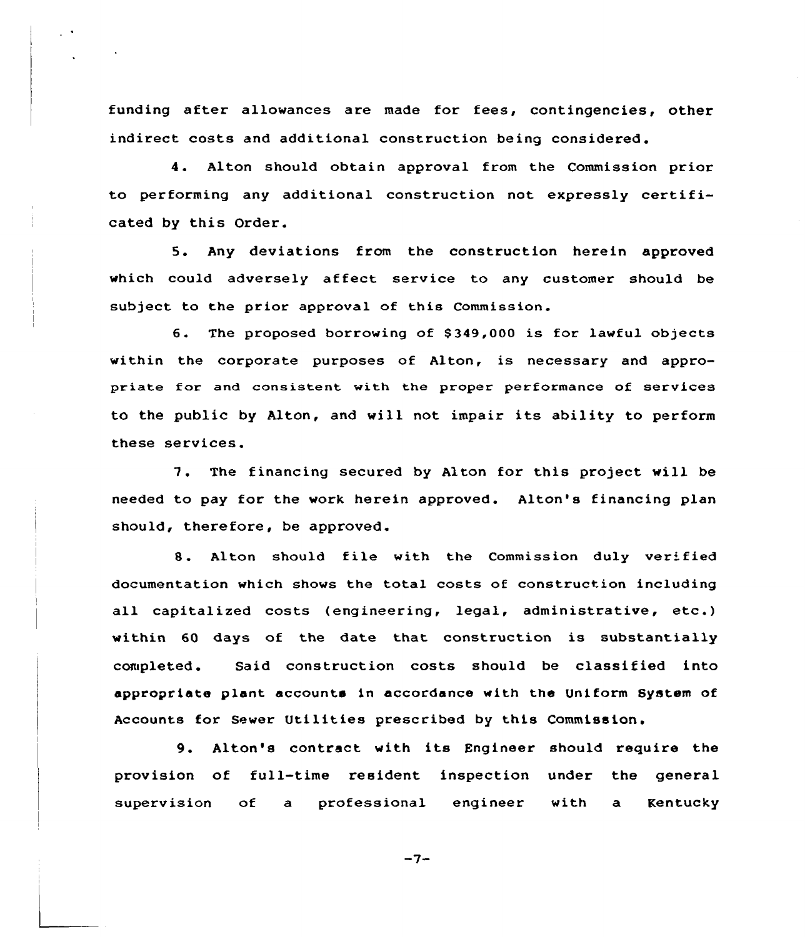funding after allowances are made for fees, contingencies, other indirect costs and additional construction being considered.

4. Alton should obtain approval from the Commission prior to performing any additional construction not expressly certificated by this Order.

5. Any deviations from the construction herein approved vhich could adversely affect service to any customer should be subject to the prior approval of this Commission.

6. The proposed borrowing of \$349,000 is for lawful objects within the corporate purposes of Alton, is necessary and appropriate for and consistent with the proper performance of services to the public by Alton, and vill not impair its ability to perform these services.

7. The financing secured by Alton for this project vill be needed to pay for the work herein approved. Alton's financing plan should, therefore, be approved.

8. Alton should file with the Commission duly verified documentation which shovs the total costs of construction including all capitalized costs (engineering, legal, administrative, etc.) within 60 days of the date that construction is substantially completed. Said construction costs should be classified into appropriate plant accounts in accordance with the Uniform System of Accounts for Sewer Utilities prescribed by this Commission.

9. Alton's contract with its Engineer should require the provision of full-time resident. inspection under the general superv ision of a professional engineer with a Kentucky

 $-7-$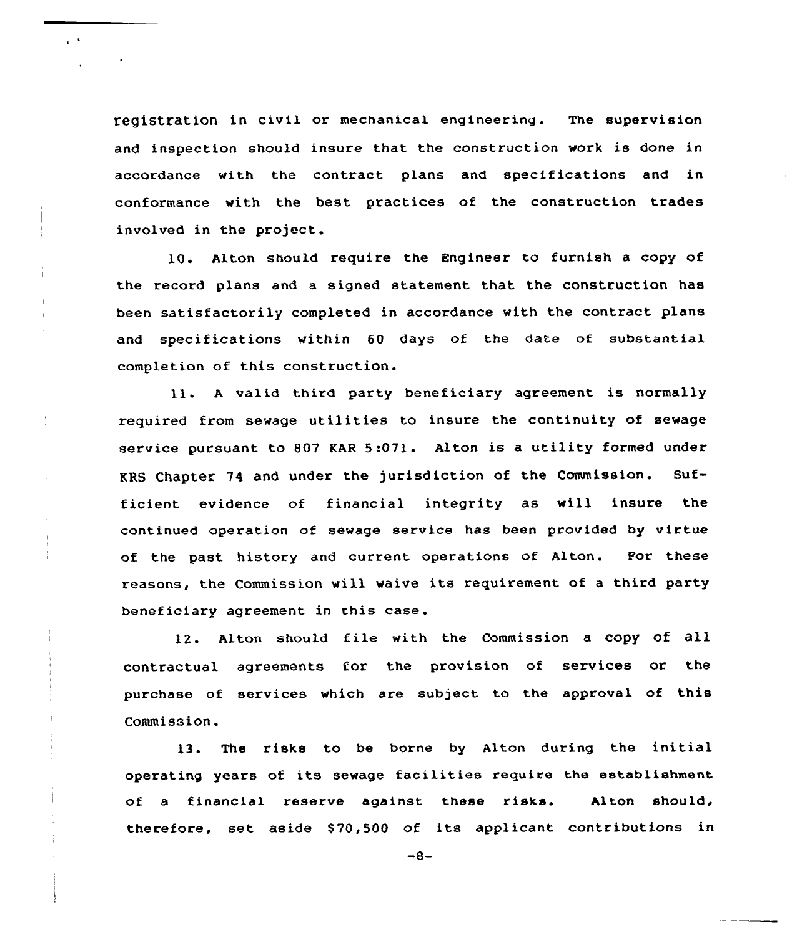registration in civil or mechanical engineering. The supervision and inspection should insure that the construction work is done in accordance with the contract plans and specifications and in conformance with the best practices of the construction trades involved in the project.

 $\mathbf{r}^{\mathrm{c}}$  .

10. Alton should require the Engineer to furnish a copy of the record plans and a signed statement that the construction has been satisfactorily completed in accordance with the contract plans and specifications within 60 days of the date of substantial completion of this construction.

ll. <sup>A</sup> valid third party beneficiary agreement is normally required from sewage utilities to insure the continuity of sewage service pursuant to 807 KAR 5:071. Alton is a utility formed under KRS Chapter 74 and under the jurisdiction of the Commission. Sufficient evidence of financial integrity as will insure the continued operation of sewage service has been provided by virtue of the past history and current operations of Alton. For these reasons, the Commission will waive its requirement of a third party beneficiary agreement in this case.

12. Alton should file with the Commission <sup>a</sup> copy of all contractual agreements for the provision of services or the purchase of services which are subject to the approval of this Commission.

13. The risks to be borne by Alton during the initial operating years of its sewage facilities require the establishment of a financial reserve against these risks. Alton should, therefore, set aside \$ 70,500 of its applicant contributions in

 $-8-$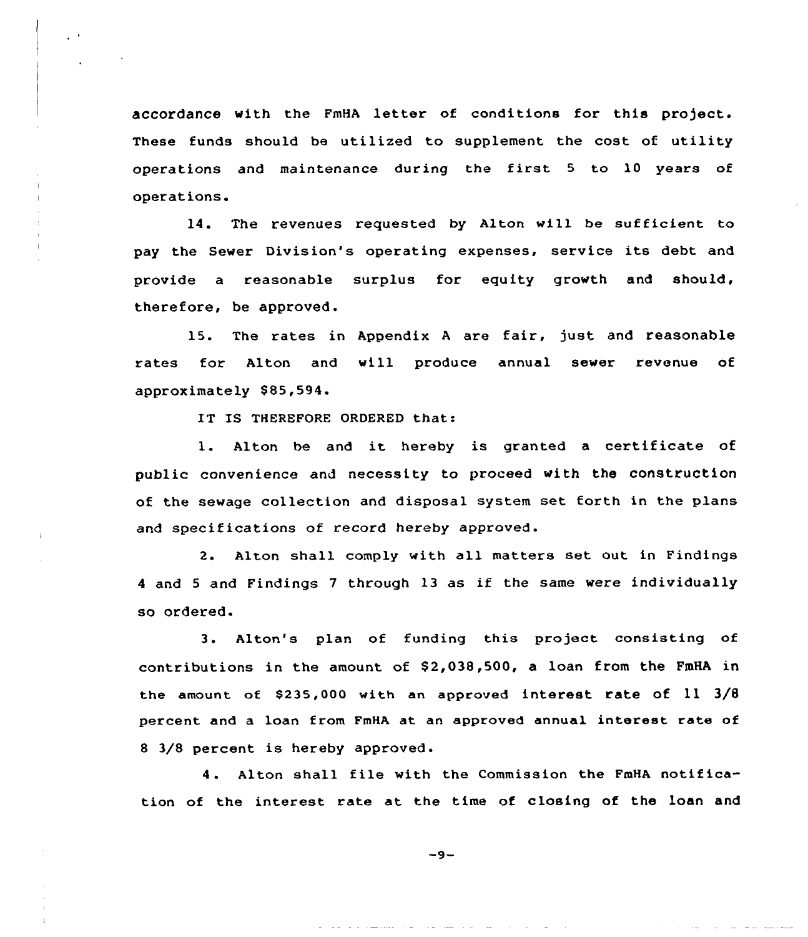accordance with the FmHA letter of conditions for this project. These funds should be utilized to supplement the cost of utility operations and maintenance during the first <sup>5</sup> to 10 years of operations.

14. The revenues requested by Alton will be sufficient to pay the Sewer Division's operating expenses, service its debt and provide a reasonable surplus for equity growth and should, therefore, be approved.

15. The rates in Appendix <sup>A</sup> are fair, just and reasonable rates for Alton and will produce annual sewer revenue of approximately 885,594

IT IS THEREFORE ORDERED that:

1. Alton be and it hereby is granted a certificate of public canvenience and necessity to proceed with the construction of the sewage collection and disposal system set forth in the plans and specifications of record hereby approved.

2. Alton shall comply with all matters set aut in Findings <sup>4</sup> and <sup>5</sup> and Findings <sup>7</sup> through 13 as if the same wexe individually so ordered.

3. Alton's plan of funding this project consisting of contributions in the amount of \$2,038,500, a loan from the FmHA in the amount of \$235,000 with an approved interest rate of  $11 \frac{3}{8}$ percent and a loan from FmHA at an approved annual interest rate of <sup>8</sup> 3/8 percent is hereby approved.

4. Alton shall file with the Commission the FmHA notification of the interest rate at the time of closing af the loan and

 $-9-$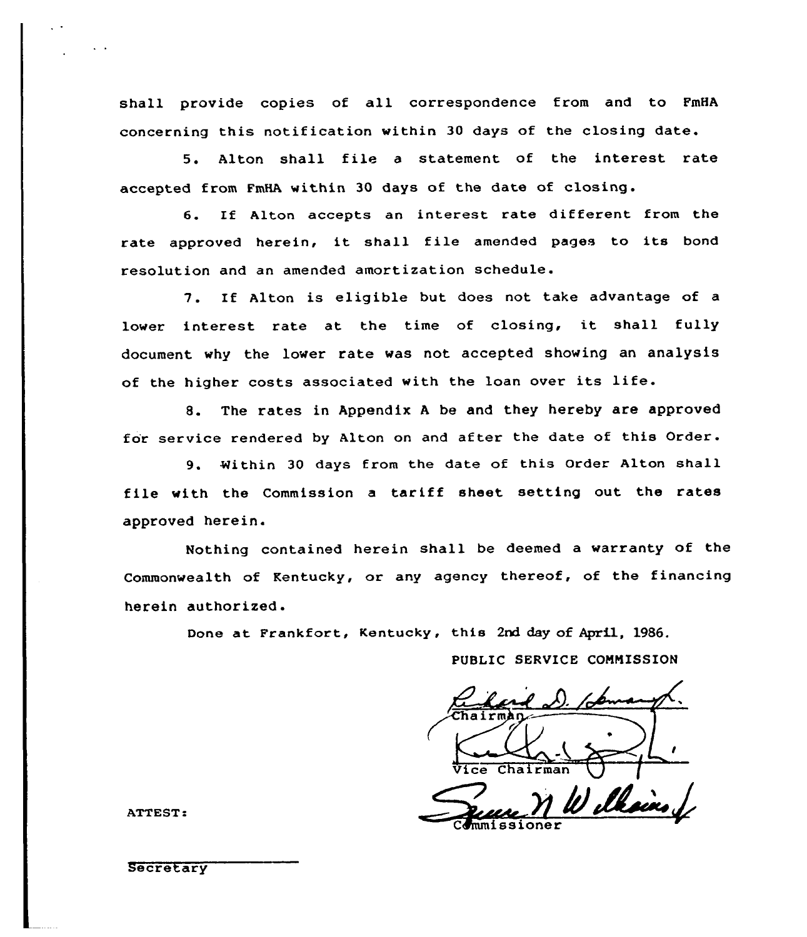shall provide copies of all correspondence from and to FmHA concerning this notification within 30 days of the closing date.

5. Alton shall file <sup>a</sup> statement of the interest rate accepted from FmHA within 30 days of the date of closing.

6. If Alton accepts an interest rate different from the rate approved herein, it shall file amended pages to its bond resolution and an amended amortization schedule.

7. If Alton is eligible but does not take advantage of lower interest rate at the time of closing, it shall fully document why the lower rate was not accepted showing an analysis of the higher costs associated with the loan over its life.

8. The rates in Appendix <sup>A</sup> be and they hereby are approved for service rendered by Alton on and after the date of this Order.

9. Within 30 days from the date of this Order Alton shall file with the Commission <sup>a</sup> tariff sheet setting out the rates approved herein.

Nothing contained herein shall be deemed a warranty of the Commonwealth of Kentucky, or any agency thereof, of the financing herein authorized.

Done at Frankfort, Kentucky, this 2nd day of April, 1986.

PUBLIC SERVICE CONNISSION

out the rate<br>
u warranty of t<br>
of the financi<br>
April, 1986.<br>
COMMISSION<br>
Commission<br>
Commission Vice Chairman ( Welksins

ATTEST:

**Secretary**